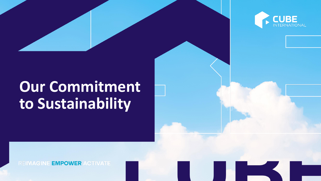## **Our Commitment to Sustainability**



**REIMAGINE EMPOWER ACTIVATE**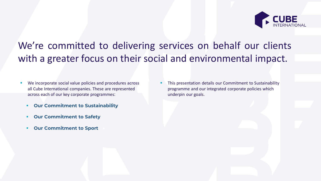

#### We're committed to delivering services on behalf our clients with a greater focus on their social and environmental impact.

- We incorporate social value policies and procedures across all Cube International companies. These are represented across each of our key corporate programmes:
	- **Our Commitment to Sustainability**
	- **Our Commitment to Safety**
	- **Our Commitment to Sport**

**EXTERCTION THE THIS PRESENTATION COMMITMENT THIS PRESENTATION CONTINUES.** programme and our integrated corporate policies which underpin our goals.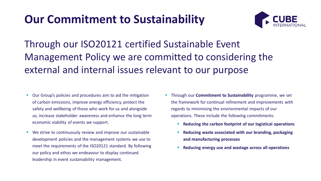### **Our Commitment to Sustainability**



Through our ISO20121 certified Sustainable Event Management Policy we are committed to considering the external and internal issues relevant to our purpose

- Our Group's policies and procedures aim to aid the mitigation of carbon emissions, improve energy efficiency, protect the safety and wellbeing of those who work for us and alongside us, increase stakeholder awareness and enhance the long term economic viability of events we support.
- We strive to continuously review and improve our sustainable development policies and the management systems we use to meet the requirements of the ISO20121 standard. By following our policy and ethos we endeavour to display continued leadership in event sustainability management.
- **EXTERNITHENT Through our Commitment to Sustainability** programme, we set the framework for continual refinement and improvements with regards to minimising the environmental impacts of our operations. These include the following commitments:
	- **Reducing the carbon footprint of our logistical operations**
	- **Reducing waste associated with our branding, packaging and manufacturing processes**
	- **Reducing energy use and wastage across all operations**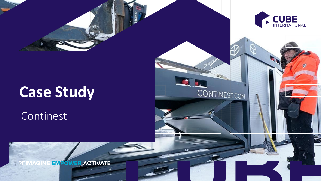

#### Continest



**CONTINEST.COM** 

**EMPOWER ACTIVATE**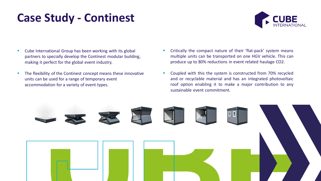## **Case Study - Continest**



- Cube International Group has been working with its global partners to specially develop the Continest modular building, making it perfect for the global event industry.
- **·** The flexibility of the Continest concept means these innovative units can be used for a range of temporary event accommodation for a variety of event types.
- Critically the compact nature of their 'flat-pack' system means multiple units can be transported on one HGV vehicle. This can produce up to 80% reductions in event related haulage CO2.
- Coupled with this the system is constructed from 70% recycled and or recyclable material and has an integrated photovoltaic roof option enabling it to make a major contribution to any sustainable event commitment.

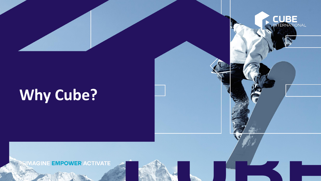# **Why Cube?**

**CUBE** 

**EN REMARINE EMPOWER ACTIVATE**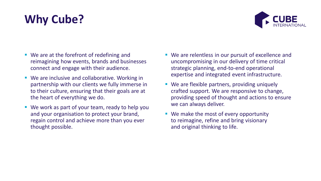## **Why Cube?**



- We are at the forefront of redefining and reimagining how events, brands and businesses connect and engage with their audience.
- We are inclusive and collaborative. Working in partnership with our clients we fully immerse in to their culture, ensuring that their goals are at the heart of everything we do.
- We work as part of your team, ready to help you and your organisation to protect your brand, regain control and achieve more than you ever thought possible.
- We are relentless in our pursuit of excellence and uncompromising in our delivery of time critical strategic planning, end-to-end operational expertise and integrated event infrastructure.
- We are flexible partners, providing uniquely crafted support. We are responsive to change, providing speed of thought and actions to ensure we can always deliver.
- We make the most of every opportunity to reimagine, refine and bring visionary and original thinking to life.